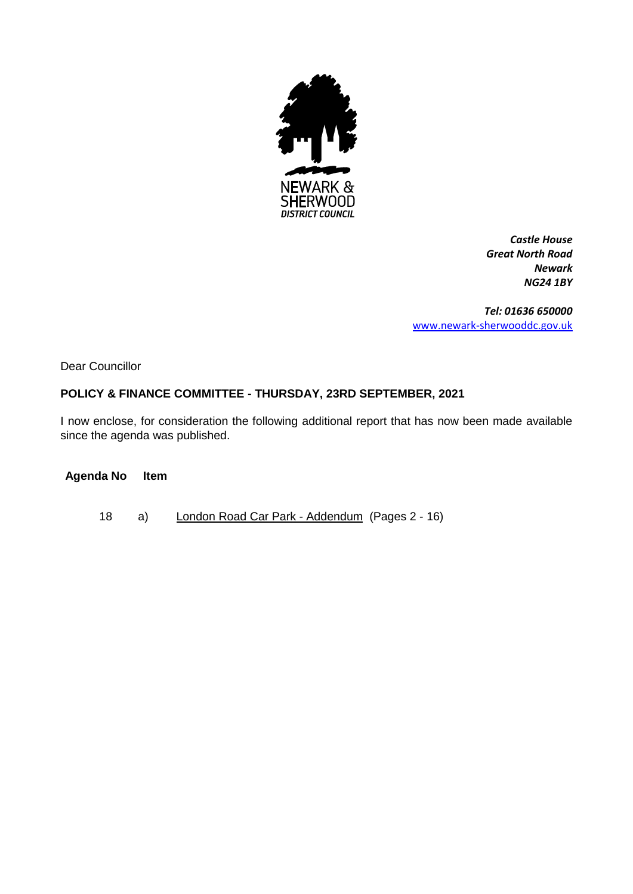

*Castle House Great North Road Newark NG24 1BY*

*Tel: 01636 650000* [www.newark-sherwooddc.gov.uk](http://www.newark-sherwooddc.gov.uk/)

Dear Councillor

# **POLICY & FINANCE COMMITTEE - THURSDAY, 23RD SEPTEMBER, 2021**

I now enclose, for consideration the following additional report that has now been made available since the agenda was published.

#### **Agenda No Item**

18 a) London Road Car Park - Addendum (Pages 2 - 16)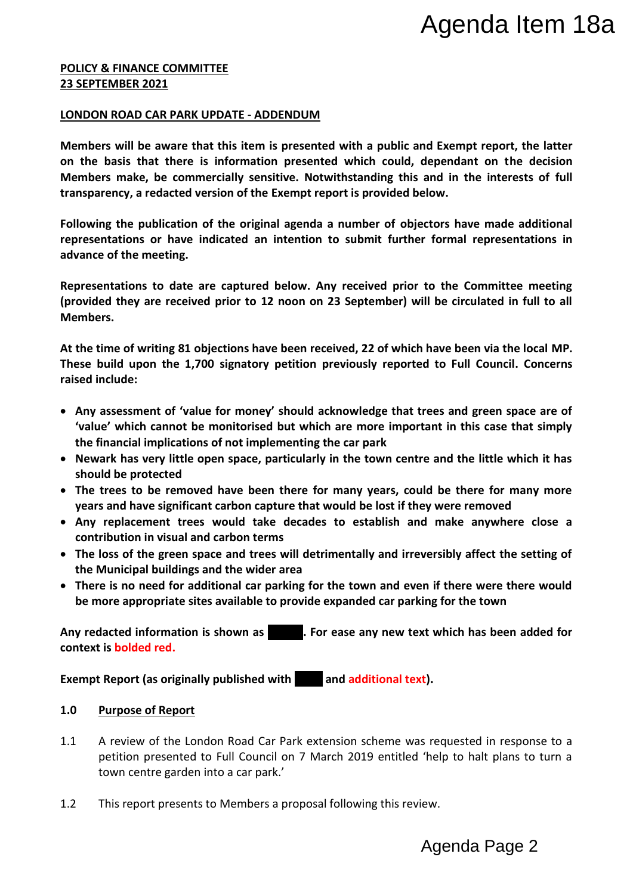#### **POLICY & FINANCE COMMITTEE 23 SEPTEMBER 2021**

### **LONDON ROAD CAR PARK UPDATE - ADDENDUM**

**Members will be aware that this item is presented with a public and Exempt report, the latter on the basis that there is information presented which could, dependant on the decision Members make, be commercially sensitive. Notwithstanding this and in the interests of full transparency, a redacted version of the Exempt report is provided below.**  Agenda Item 18a<br>
Ind Exempt report, the latter<br>
dependant on the decision<br>
and in the interests of full<br>
lelow.<br>
Ectors have made additional<br>
r formal representations in<br>
to the Committee meeting<br>
ill be circulated in full

**Following the publication of the original agenda a number of objectors have made additional representations or have indicated an intention to submit further formal representations in advance of the meeting.** 

**Representations to date are captured below. Any received prior to the Committee meeting (provided they are received prior to 12 noon on 23 September) will be circulated in full to all Members.** 

**At the time of writing 81 objections have been received, 22 of which have been via the local MP. These build upon the 1,700 signatory petition previously reported to Full Council. Concerns raised include:**

- **Any assessment of 'value for money' should acknowledge that trees and green space are of 'value' which cannot be monitorised but which are more important in this case that simply the financial implications of not implementing the car park**
- **Newark has very little open space, particularly in the town centre and the little which it has should be protected**
- **The trees to be removed have been there for many years, could be there for many more years and have significant carbon capture that would be lost if they were removed**
- **Any replacement trees would take decades to establish and make anywhere close a contribution in visual and carbon terms**
- **The loss of the green space and trees will detrimentally and irreversibly affect the setting of the Municipal buildings and the wider area**
- **There is no need for additional car parking for the town and even if there were there would be more appropriate sites available to provide expanded car parking for the town**

Any redacted information is shown as **xxxxx.** For ease any new text which has been added for **context is bolded red.**

**Exempt Report (as originally published with and additional text).** 

#### **1.0 Purpose of Report**

- 1.1 A review of the London Road Car Park extension scheme was requested in response to a petition presented to Full Council on 7 March 2019 entitled 'help to halt plans to turn a town centre garden into a car park.'
- 1.2 This report presents to Members a proposal following this review.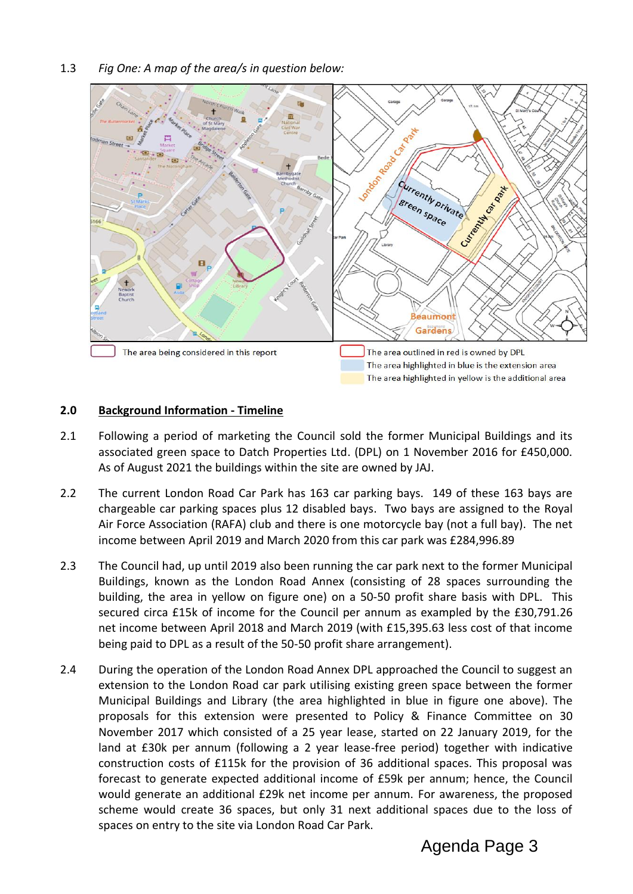1.3 *Fig One: A map of the area/s in question below:*



#### **2.0 Background Information - Timeline**

- 2.1 Following a period of marketing the Council sold the former Municipal Buildings and its associated green space to Datch Properties Ltd. (DPL) on 1 November 2016 for £450,000. As of August 2021 the buildings within the site are owned by JAJ.
- 2.2 The current London Road Car Park has 163 car parking bays. 149 of these 163 bays are chargeable car parking spaces plus 12 disabled bays. Two bays are assigned to the Royal Air Force Association (RAFA) club and there is one motorcycle bay (not a full bay). The net income between April 2019 and March 2020 from this car park was £284,996.89
- 2.3 The Council had, up until 2019 also been running the car park next to the former Municipal Buildings, known as the London Road Annex (consisting of 28 spaces surrounding the building, the area in yellow on figure one) on a 50-50 profit share basis with DPL. This secured circa £15k of income for the Council per annum as exampled by the £30,791.26 net income between April 2018 and March 2019 (with £15,395.63 less cost of that income being paid to DPL as a result of the 50-50 profit share arrangement).
- 2.4 During the operation of the London Road Annex DPL approached the Council to suggest an extension to the London Road car park utilising existing green space between the former Municipal Buildings and Library (the area highlighted in blue in figure one above). The proposals for this extension were presented to Policy & Finance Committee on 30 November 2017 which consisted of a 25 year lease, started on 22 January 2019, for the land at £30k per annum (following a 2 year lease-free period) together with indicative construction costs of £115k for the provision of 36 additional spaces. This proposal was forecast to generate expected additional income of £59k per annum; hence, the Council would generate an additional £29k net income per annum. For awareness, the proposed scheme would create 36 spaces, but only 31 next additional spaces due to the loss of spaces on entry to the site via London Road Car Park.

Agenda Page 3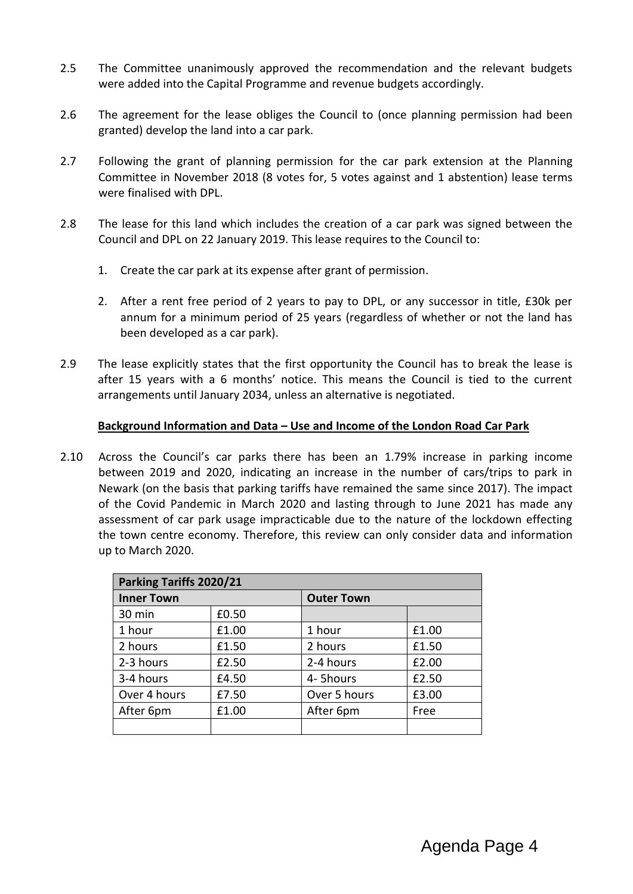- 2.5 The Committee unanimously approved the recommendation and the relevant budgets were added into the Capital Programme and revenue budgets accordingly.
- 2.6 The agreement for the lease obliges the Council to (once planning permission had been granted) develop the land into a car park.
- 2.7 Following the grant of planning permission for the car park extension at the Planning Committee in November 2018 (8 votes for, 5 votes against and 1 abstention) lease terms were finalised with DPL.
- 2.8 The lease for this land which includes the creation of a car park was signed between the Council and DPL on 22 January 2019. This lease requires to the Council to:
	- 1. Create the car park at its expense after grant of permission.
	- 2. After a rent free period of 2 years to pay to DPL, or any successor in title, £30k per annum for a minimum period of 25 years (regardless of whether or not the land has been developed as a car park).
- 2.9 The lease explicitly states that the first opportunity the Council has to break the lease is after 15 years with a 6 months' notice. This means the Council is tied to the current arrangements until January 2034, unless an alternative is negotiated.

### **Background Information and Data – Use and Income of the London Road Car Park**

2.10 Across the Council's car parks there has been an 1.79% increase in parking income between 2019 and 2020, indicating an increase in the number of cars/trips to park in Newark (on the basis that parking tariffs have remained the same since 2017). The impact of the Covid Pandemic in March 2020 and lasting through to June 2021 has made any assessment of car park usage impracticable due to the nature of the lockdown effecting the town centre economy. Therefore, this review can only consider data and information up to March 2020.

| Parking Tariffs 2020/21 |       |                   |       |  |  |
|-------------------------|-------|-------------------|-------|--|--|
| <b>Inner Town</b>       |       | <b>Outer Town</b> |       |  |  |
| 30 min                  | £0.50 |                   |       |  |  |
| 1 hour                  | £1.00 | 1 hour            | £1.00 |  |  |
| 2 hours                 | £1.50 | 2 hours           | £1.50 |  |  |
| 2-3 hours               | £2.50 | 2-4 hours         | £2.00 |  |  |
| 3-4 hours               | £4.50 | 4-5hours          | £2.50 |  |  |
| Over 4 hours            | £7.50 | Over 5 hours      | £3.00 |  |  |
| After 6pm               | £1.00 | After 6pm         | Free  |  |  |
|                         |       |                   |       |  |  |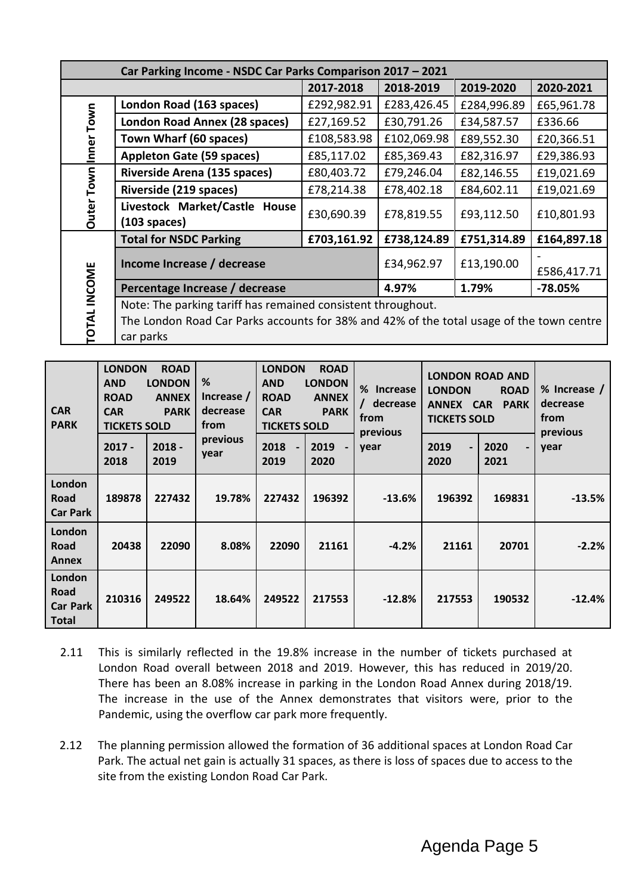| Car Parking Income - NSDC Car Parks Comparison 2017 - 2021 |                                                                                                                                                                       |             |             |             |             |  |
|------------------------------------------------------------|-----------------------------------------------------------------------------------------------------------------------------------------------------------------------|-------------|-------------|-------------|-------------|--|
|                                                            |                                                                                                                                                                       | 2017-2018   | 2018-2019   | 2019-2020   | 2020-2021   |  |
|                                                            | London Road (163 spaces)                                                                                                                                              | £292,982.91 | £283,426.45 | £284,996.89 | £65,961.78  |  |
|                                                            | London Road Annex (28 spaces)                                                                                                                                         | £27,169.52  | £30,791.26  | £34,587.57  | £336.66     |  |
| Inner Town                                                 | Town Wharf (60 spaces)                                                                                                                                                | £108,583.98 | £102,069.98 | £89,552.30  | £20,366.51  |  |
|                                                            | <b>Appleton Gate (59 spaces)</b>                                                                                                                                      | £85,117.02  | £85,369.43  | £82,316.97  | £29,386.93  |  |
|                                                            | Riverside Arena (135 spaces)                                                                                                                                          | £80,403.72  | £79,246.04  | £82,146.55  | £19,021.69  |  |
|                                                            | Riverside (219 spaces)                                                                                                                                                | £78,214.38  | £78,402.18  | £84,602.11  | £19,021.69  |  |
| <b>Outer Town</b>                                          | Livestock Market/Castle House<br>$(103$ spaces)                                                                                                                       | £30,690.39  | £78,819.55  | £93,112.50  | £10,801.93  |  |
|                                                            | <b>Total for NSDC Parking</b>                                                                                                                                         | £703,161.92 | £738,124.89 | £751,314.89 | £164,897.18 |  |
|                                                            | Income Increase / decrease                                                                                                                                            | £34,962.97  | £13,190.00  | £586,417.71 |             |  |
|                                                            | Percentage Increase / decrease                                                                                                                                        | 4.97%       | 1.79%       | $-78.05%$   |             |  |
| <b>OTAL INCOME</b>                                         | Note: The parking tariff has remained consistent throughout.<br>The London Road Car Parks accounts for 38% and 42% of the total usage of the town centre<br>car parks |             |             |             |             |  |

| <b>CAR</b><br><b>PARK</b>                         | <b>LONDON</b><br><b>ROAD</b><br>%<br><b>LONDON</b><br><b>AND</b><br><b>ANNEX</b><br><b>ROAD</b><br><b>CAR</b><br><b>PARK</b><br>from<br><b>TICKETS SOLD</b> |                  | Increase /<br>decrease | <b>LONDON</b><br><b>ROAD</b><br><b>AND</b><br><b>LONDON</b><br><b>ROAD</b><br><b>ANNEX</b><br><b>CAR</b><br><b>PARK</b><br><b>TICKETS SOLD</b> |              | %<br><b>Increase</b><br>/ decrease<br>from<br>previous | <b>LONDON ROAD AND</b><br><b>LONDON</b><br><b>ROAD</b><br>ANNEX CAR<br><b>PARK</b><br><b>TICKETS SOLD</b> |                                          | % Increase /<br>decrease<br>from<br>previous |
|---------------------------------------------------|-------------------------------------------------------------------------------------------------------------------------------------------------------------|------------------|------------------------|------------------------------------------------------------------------------------------------------------------------------------------------|--------------|--------------------------------------------------------|-----------------------------------------------------------------------------------------------------------|------------------------------------------|----------------------------------------------|
|                                                   | $2017 -$<br>2018                                                                                                                                            | $2018 -$<br>2019 | previous<br>year       | 2018<br>$\blacksquare$<br>2019                                                                                                                 | 2019<br>2020 | year                                                   | 2019<br>$\overline{\phantom{0}}$<br>2020                                                                  | 2020<br>$\overline{\phantom{0}}$<br>2021 | year                                         |
| London<br>Road<br><b>Car Park</b>                 | 189878                                                                                                                                                      | 227432           | 19.78%                 | 227432                                                                                                                                         | 196392       | $-13.6%$                                               | 196392                                                                                                    | 169831                                   | $-13.5%$                                     |
| London<br>Road<br><b>Annex</b>                    | 20438                                                                                                                                                       | 22090            | 8.08%                  | 22090                                                                                                                                          | 21161        | $-4.2%$                                                | 21161                                                                                                     | 20701                                    | $-2.2%$                                      |
| London<br>Road<br><b>Car Park</b><br><b>Total</b> | 210316                                                                                                                                                      | 249522           | 18.64%                 | 249522                                                                                                                                         | 217553       | $-12.8%$                                               | 217553                                                                                                    | 190532                                   | $-12.4%$                                     |

- 2.11 This is similarly reflected in the 19.8% increase in the number of tickets purchased at London Road overall between 2018 and 2019. However, this has reduced in 2019/20. There has been an 8.08% increase in parking in the London Road Annex during 2018/19. The increase in the use of the Annex demonstrates that visitors were, prior to the Pandemic, using the overflow car park more frequently.
- 2.12 The planning permission allowed the formation of 36 additional spaces at London Road Car Park. The actual net gain is actually 31 spaces, as there is loss of spaces due to access to the site from the existing London Road Car Park.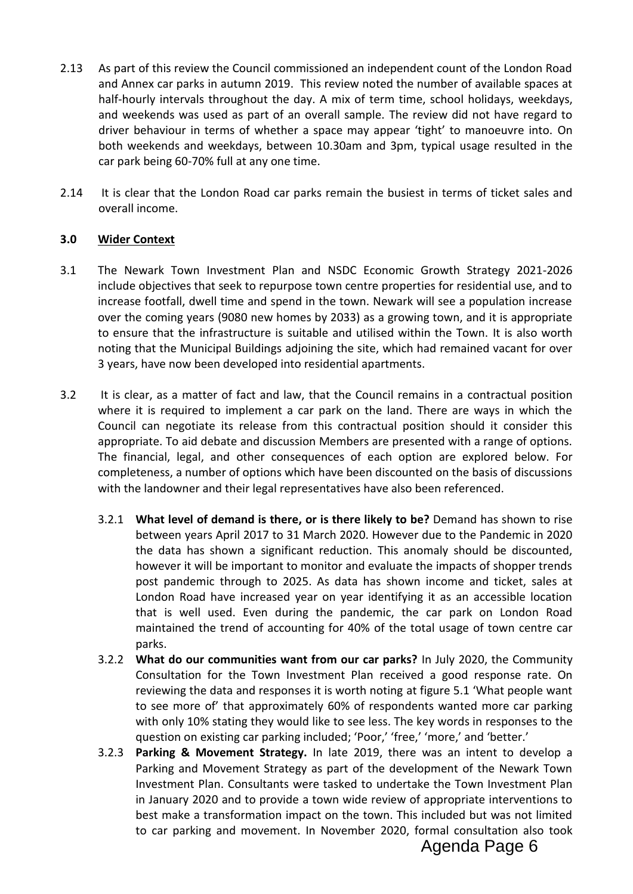- 2.13 As part of this review the Council commissioned an independent count of the London Road and Annex car parks in autumn 2019. This review noted the number of available spaces at half-hourly intervals throughout the day. A mix of term time, school holidays, weekdays, and weekends was used as part of an overall sample. The review did not have regard to driver behaviour in terms of whether a space may appear 'tight' to manoeuvre into. On both weekends and weekdays, between 10.30am and 3pm, typical usage resulted in the car park being 60-70% full at any one time.
- 2.14 It is clear that the London Road car parks remain the busiest in terms of ticket sales and overall income.

### **3.0 Wider Context**

- 3.1 The Newark Town Investment Plan and NSDC Economic Growth Strategy 2021-2026 include objectives that seek to repurpose town centre properties for residential use, and to increase footfall, dwell time and spend in the town. Newark will see a population increase over the coming years (9080 new homes by 2033) as a growing town, and it is appropriate to ensure that the infrastructure is suitable and utilised within the Town. It is also worth noting that the Municipal Buildings adjoining the site, which had remained vacant for over 3 years, have now been developed into residential apartments.
- 3.2 It is clear, as a matter of fact and law, that the Council remains in a contractual position where it is required to implement a car park on the land. There are ways in which the Council can negotiate its release from this contractual position should it consider this appropriate. To aid debate and discussion Members are presented with a range of options. The financial, legal, and other consequences of each option are explored below. For completeness, a number of options which have been discounted on the basis of discussions with the landowner and their legal representatives have also been referenced.
	- 3.2.1 **What level of demand is there, or is there likely to be?** Demand has shown to rise between years April 2017 to 31 March 2020. However due to the Pandemic in 2020 the data has shown a significant reduction. This anomaly should be discounted, however it will be important to monitor and evaluate the impacts of shopper trends post pandemic through to 2025. As data has shown income and ticket, sales at London Road have increased year on year identifying it as an accessible location that is well used. Even during the pandemic, the car park on London Road maintained the trend of accounting for 40% of the total usage of town centre car parks.
	- 3.2.2 **What do our communities want from our car parks?** In July 2020, the Community Consultation for the Town Investment Plan received a good response rate. On reviewing the data and responses it is worth noting at figure 5.1 'What people want to see more of' that approximately 60% of respondents wanted more car parking with only 10% stating they would like to see less. The key words in responses to the question on existing car parking included; 'Poor,' 'free,' 'more,' and 'better.'
	- 3.2.3 **Parking & Movement Strategy.** In late 2019, there was an intent to develop a Parking and Movement Strategy as part of the development of the Newark Town Investment Plan. Consultants were tasked to undertake the Town Investment Plan in January 2020 and to provide a town wide review of appropriate interventions to best make a transformation impact on the town. This included but was not limited to car parking and movement. In November 2020, formal consultation also took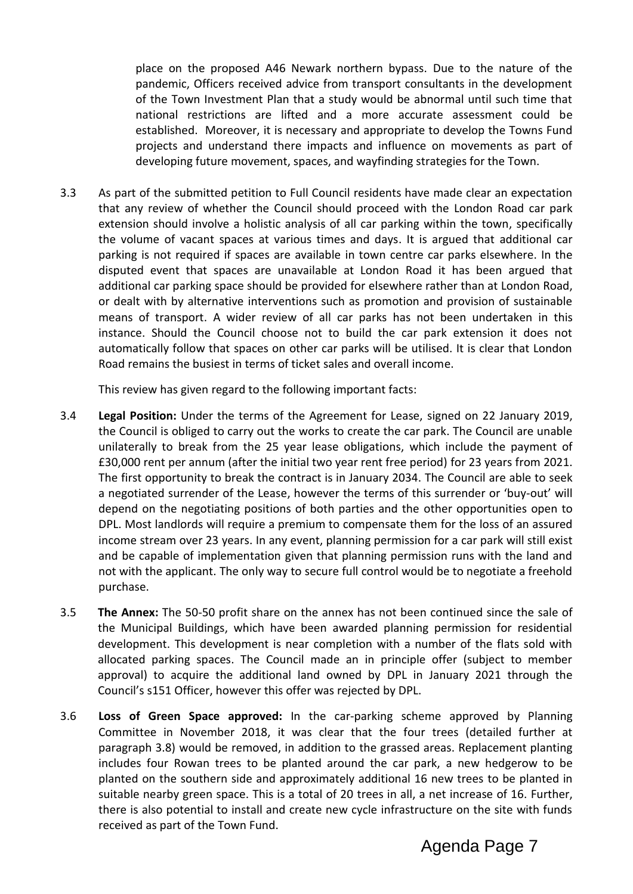place on the proposed A46 Newark northern bypass. Due to the nature of the pandemic, Officers received advice from transport consultants in the development of the Town Investment Plan that a study would be abnormal until such time that national restrictions are lifted and a more accurate assessment could be established. Moreover, it is necessary and appropriate to develop the Towns Fund projects and understand there impacts and influence on movements as part of developing future movement, spaces, and wayfinding strategies for the Town.

3.3 As part of the submitted petition to Full Council residents have made clear an expectation that any review of whether the Council should proceed with the London Road car park extension should involve a holistic analysis of all car parking within the town, specifically the volume of vacant spaces at various times and days. It is argued that additional car parking is not required if spaces are available in town centre car parks elsewhere. In the disputed event that spaces are unavailable at London Road it has been argued that additional car parking space should be provided for elsewhere rather than at London Road, or dealt with by alternative interventions such as promotion and provision of sustainable means of transport. A wider review of all car parks has not been undertaken in this instance. Should the Council choose not to build the car park extension it does not automatically follow that spaces on other car parks will be utilised. It is clear that London Road remains the busiest in terms of ticket sales and overall income.

This review has given regard to the following important facts:

- 3.4 **Legal Position:** Under the terms of the Agreement for Lease, signed on 22 January 2019, the Council is obliged to carry out the works to create the car park. The Council are unable unilaterally to break from the 25 year lease obligations, which include the payment of £30,000 rent per annum (after the initial two year rent free period) for 23 years from 2021. The first opportunity to break the contract is in January 2034. The Council are able to seek a negotiated surrender of the Lease, however the terms of this surrender or 'buy-out' will depend on the negotiating positions of both parties and the other opportunities open to DPL. Most landlords will require a premium to compensate them for the loss of an assured income stream over 23 years. In any event, planning permission for a car park will still exist and be capable of implementation given that planning permission runs with the land and not with the applicant. The only way to secure full control would be to negotiate a freehold purchase.
- 3.5 **The Annex:** The 50-50 profit share on the annex has not been continued since the sale of the Municipal Buildings, which have been awarded planning permission for residential development. This development is near completion with a number of the flats sold with allocated parking spaces. The Council made an in principle offer (subject to member approval) to acquire the additional land owned by DPL in January 2021 through the Council's s151 Officer, however this offer was rejected by DPL.
- 3.6 **Loss of Green Space approved:** In the car-parking scheme approved by Planning Committee in November 2018, it was clear that the four trees (detailed further at paragraph 3.8) would be removed, in addition to the grassed areas. Replacement planting includes four Rowan trees to be planted around the car park, a new hedgerow to be planted on the southern side and approximately additional 16 new trees to be planted in suitable nearby green space. This is a total of 20 trees in all, a net increase of 16. Further, there is also potential to install and create new cycle infrastructure on the site with funds received as part of the Town Fund.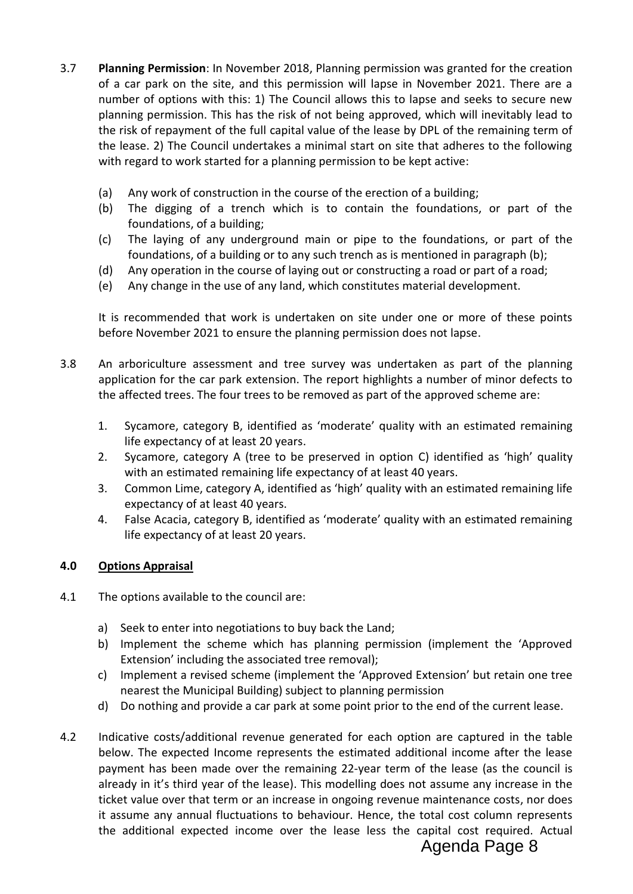- 3.7 **Planning Permission**: In November 2018, Planning permission was granted for the creation of a car park on the site, and this permission will lapse in November 2021. There are a number of options with this: 1) The Council allows this to lapse and seeks to secure new planning permission. This has the risk of not being approved, which will inevitably lead to the risk of repayment of the full capital value of the lease by DPL of the remaining term of the lease. 2) The Council undertakes a minimal start on site that adheres to the following with regard to work started for a planning permission to be kept active:
	- (a) Any work of construction in the course of the erection of a building;
	- (b) The digging of a trench which is to contain the foundations, or part of the foundations, of a building;
	- (c) The laying of any underground main or pipe to the foundations, or part of the foundations, of a building or to any such trench as is mentioned in paragraph (b);
	- (d) Any operation in the course of laying out or constructing a road or part of a road;
	- (e) Any change in the use of any land, which constitutes material development.

It is recommended that work is undertaken on site under one or more of these points before November 2021 to ensure the planning permission does not lapse.

- 3.8 An arboriculture assessment and tree survey was undertaken as part of the planning application for the car park extension. The report highlights a number of minor defects to the affected trees. The four trees to be removed as part of the approved scheme are:
	- 1. Sycamore, category B, identified as 'moderate' quality with an estimated remaining life expectancy of at least 20 years.
	- 2. Sycamore, category A (tree to be preserved in option C) identified as 'high' quality with an estimated remaining life expectancy of at least 40 years.
	- 3. Common Lime, category A, identified as 'high' quality with an estimated remaining life expectancy of at least 40 years.
	- 4. False Acacia, category B, identified as 'moderate' quality with an estimated remaining life expectancy of at least 20 years.

# **4.0 Options Appraisal**

- 4.1 The options available to the council are:
	- a) Seek to enter into negotiations to buy back the Land;
	- b) Implement the scheme which has planning permission (implement the 'Approved Extension' including the associated tree removal);
	- c) Implement a revised scheme (implement the 'Approved Extension' but retain one tree nearest the Municipal Building) subject to planning permission
	- d) Do nothing and provide a car park at some point prior to the end of the current lease.
- 4.2 Indicative costs/additional revenue generated for each option are captured in the table below. The expected Income represents the estimated additional income after the lease payment has been made over the remaining 22-year term of the lease (as the council is already in it's third year of the lease). This modelling does not assume any increase in the ticket value over that term or an increase in ongoing revenue maintenance costs, nor does it assume any annual fluctuations to behaviour. Hence, the total cost column represents the additional expected income over the lease less the capital cost required. Actual

# Agenda Page 8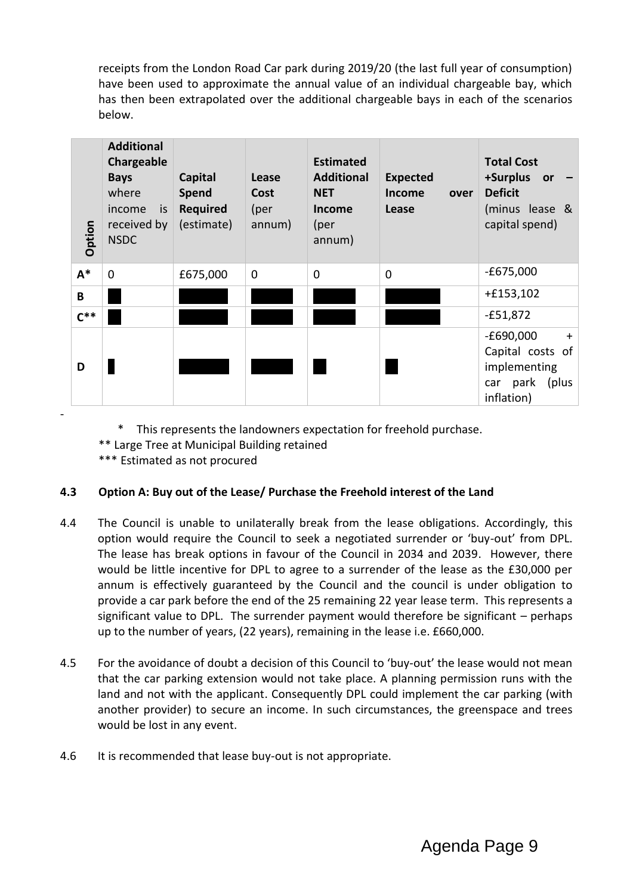receipts from the London Road Car park during 2019/20 (the last full year of consumption) have been used to approximate the annual value of an individual chargeable bay, which has then been extrapolated over the additional chargeable bays in each of the scenarios below.

| Option | <b>Additional</b><br>Chargeable<br><b>Bays</b><br>where<br>income<br>is<br>received by<br><b>NSDC</b> | <b>Capital</b><br>Spend<br><b>Required</b><br>(estimate) | Lease<br>Cost<br>(per<br>annum) | <b>Estimated</b><br><b>Additional</b><br><b>NET</b><br><b>Income</b><br>(per<br>annum) | <b>Expected</b><br>Income<br>over<br>Lease | <b>Total Cost</b><br>+Surplus<br>or<br><b>Deficit</b><br>(minus lease &<br>capital spend) |
|--------|-------------------------------------------------------------------------------------------------------|----------------------------------------------------------|---------------------------------|----------------------------------------------------------------------------------------|--------------------------------------------|-------------------------------------------------------------------------------------------|
| $A^*$  | $\mathbf 0$                                                                                           | £675,000                                                 | $\mathbf 0$                     | $\mathbf 0$                                                                            | $\Omega$                                   | $-£675,000$                                                                               |
| B      |                                                                                                       |                                                          |                                 |                                                                                        |                                            | $+£153,102$                                                                               |
| $C^*$  |                                                                                                       |                                                          |                                 |                                                                                        |                                            | $-£51,872$                                                                                |
| D      |                                                                                                       |                                                          |                                 |                                                                                        |                                            | $-E690,000$<br>$+$<br>Capital costs of<br>implementing<br>(plus<br>car park<br>inflation) |

\* This represents the landowners expectation for freehold purchase.

\*\* Large Tree at Municipal Building retained

\*\*\* Estimated as not procured

-

# **4.3 Option A: Buy out of the Lease/ Purchase the Freehold interest of the Land**

- 4.4 The Council is unable to unilaterally break from the lease obligations. Accordingly, this option would require the Council to seek a negotiated surrender or 'buy-out' from DPL. The lease has break options in favour of the Council in 2034 and 2039. However, there would be little incentive for DPL to agree to a surrender of the lease as the £30,000 per annum is effectively guaranteed by the Council and the council is under obligation to provide a car park before the end of the 25 remaining 22 year lease term. This represents a significant value to DPL. The surrender payment would therefore be significant  $-$  perhaps up to the number of years, (22 years), remaining in the lease i.e. £660,000.
- 4.5 For the avoidance of doubt a decision of this Council to 'buy-out' the lease would not mean that the car parking extension would not take place. A planning permission runs with the land and not with the applicant. Consequently DPL could implement the car parking (with another provider) to secure an income. In such circumstances, the greenspace and trees would be lost in any event.
- 4.6 It is recommended that lease buy-out is not appropriate.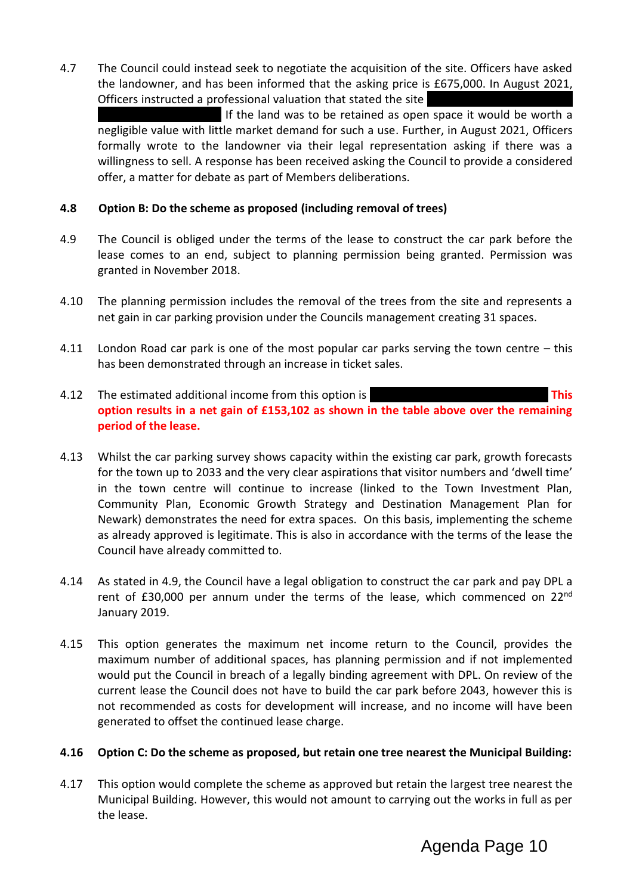4.7 The Council could instead seek to negotiate the acquisition of the site. Officers have asked the landowner, and has been informed that the asking price is £675,000. In August 2021, Officers instructed a professional valuation that stated the site

If the land was to be retained as open space it would be worth a negligible value with little market demand for such a use. Further, in August 2021, Officers formally wrote to the landowner via their legal representation asking if there was a willingness to sell. A response has been received asking the Council to provide a considered offer, a matter for debate as part of Members deliberations.

### **4.8 Option B: Do the scheme as proposed (including removal of trees)**

- 4.9 The Council is obliged under the terms of the lease to construct the car park before the lease comes to an end, subject to planning permission being granted. Permission was granted in November 2018.
- 4.10 The planning permission includes the removal of the trees from the site and represents a net gain in car parking provision under the Councils management creating 31 spaces.
- 4.11 London Road car park is one of the most popular car parks serving the town centre this has been demonstrated through an increase in ticket sales.
- 4.12 The estimated additional income from this option is **EAS EXAMPLE 1998 This option results in a net gain of £153,102 as shown in the table above over the remaining period of the lease.**
- 4.13 Whilst the car parking survey shows capacity within the existing car park, growth forecasts for the town up to 2033 and the very clear aspirations that visitor numbers and 'dwell time' in the town centre will continue to increase (linked to the Town Investment Plan, Community Plan, Economic Growth Strategy and Destination Management Plan for Newark) demonstrates the need for extra spaces. On this basis, implementing the scheme as already approved is legitimate. This is also in accordance with the terms of the lease the Council have already committed to.
- 4.14 As stated in 4.9, the Council have a legal obligation to construct the car park and pay DPL a rent of £30,000 per annum under the terms of the lease, which commenced on 22<sup>nd</sup> January 2019.
- 4.15 This option generates the maximum net income return to the Council, provides the maximum number of additional spaces, has planning permission and if not implemented would put the Council in breach of a legally binding agreement with DPL. On review of the current lease the Council does not have to build the car park before 2043, however this is not recommended as costs for development will increase, and no income will have been generated to offset the continued lease charge.

#### **4.16 Option C: Do the scheme as proposed, but retain one tree nearest the Municipal Building:**

4.17 This option would complete the scheme as approved but retain the largest tree nearest the Municipal Building. However, this would not amount to carrying out the works in full as per the lease.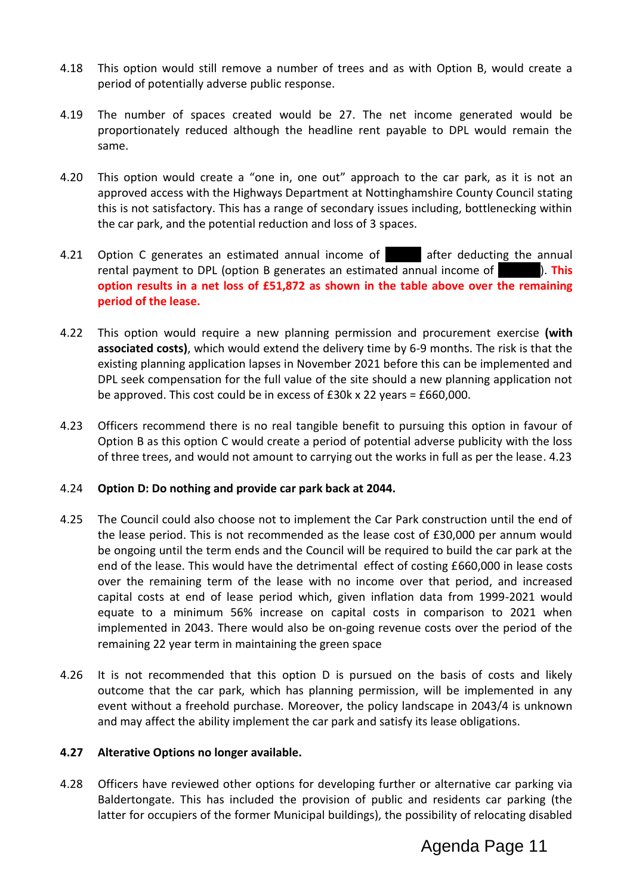- 4.18 This option would still remove a number of trees and as with Option B, would create a period of potentially adverse public response.
- 4.19 The number of spaces created would be 27. The net income generated would be proportionately reduced although the headline rent payable to DPL would remain the same.
- 4.20 This option would create a "one in, one out" approach to the car park, as it is not an approved access with the Highways Department at Nottinghamshire County Council stating this is not satisfactory. This has a range of secondary issues including, bottlenecking within the car park, and the potential reduction and loss of 3 spaces.
- 4.21 Option C generates an estimated annual income of **Earl a** after deducting the annual rental payment to DPL (option B generates an estimated annual income of **18,141).** This **option results in a net loss of £51,872 as shown in the table above over the remaining period of the lease.**
- 4.22 This option would require a new planning permission and procurement exercise **(with associated costs)**, which would extend the delivery time by 6-9 months. The risk is that the existing planning application lapses in November 2021 before this can be implemented and DPL seek compensation for the full value of the site should a new planning application not be approved. This cost could be in excess of £30k x 22 years = £660,000.
- 4.23 Officers recommend there is no real tangible benefit to pursuing this option in favour of Option B as this option C would create a period of potential adverse publicity with the loss of three trees, and would not amount to carrying out the works in full as per the lease. 4.23

#### 4.24 **Option D: Do nothing and provide car park back at 2044.**

- 4.25 The Council could also choose not to implement the Car Park construction until the end of the lease period. This is not recommended as the lease cost of £30,000 per annum would be ongoing until the term ends and the Council will be required to build the car park at the end of the lease. This would have the detrimental effect of costing £660,000 in lease costs over the remaining term of the lease with no income over that period, and increased capital costs at end of lease period which, given inflation data from 1999-2021 would equate to a minimum 56% increase on capital costs in comparison to 2021 when implemented in 2043. There would also be on-going revenue costs over the period of the remaining 22 year term in maintaining the green space
- 4.26 It is not recommended that this option D is pursued on the basis of costs and likely outcome that the car park, which has planning permission, will be implemented in any event without a freehold purchase. Moreover, the policy landscape in 2043/4 is unknown and may affect the ability implement the car park and satisfy its lease obligations.

#### **4.27 Alterative Options no longer available.**

4.28 Officers have reviewed other options for developing further or alternative car parking via Baldertongate. This has included the provision of public and residents car parking (the latter for occupiers of the former Municipal buildings), the possibility of relocating disabled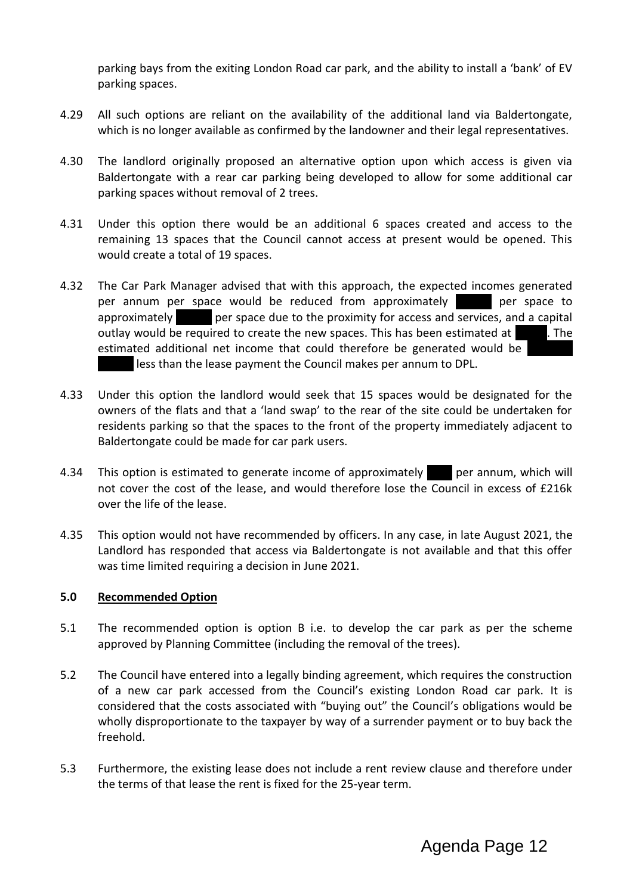parking bays from the exiting London Road car park, and the ability to install a 'bank' of EV parking spaces.

- 4.29 All such options are reliant on the availability of the additional land via Baldertongate, which is no longer available as confirmed by the landowner and their legal representatives.
- 4.30 The landlord originally proposed an alternative option upon which access is given via Baldertongate with a rear car parking being developed to allow for some additional car parking spaces without removal of 2 trees.
- 4.31 Under this option there would be an additional 6 spaces created and access to the remaining 13 spaces that the Council cannot access at present would be opened. This would create a total of 19 spaces.
- 4.32 The Car Park Manager advised that with this approach, the expected incomes generated per annum per space would be reduced from approximately **1963 per space to** approximately **the per space due to the proximity for access and services, and a capital** outlay would be required to create the new spaces. This has been estimated at  $\overline{1}$ . The estimated additional net income that could therefore be generated would be less than the lease payment the Council makes per annum to DPL.
- 4.33 Under this option the landlord would seek that 15 spaces would be designated for the owners of the flats and that a 'land swap' to the rear of the site could be undertaken for residents parking so that the spaces to the front of the property immediately adjacent to Baldertongate could be made for car park users.
- 4.34 This option is estimated to generate income of approximately energy per annum, which will not cover the cost of the lease, and would therefore lose the Council in excess of £216k over the life of the lease.
- 4.35 This option would not have recommended by officers. In any case, in late August 2021, the Landlord has responded that access via Baldertongate is not available and that this offer was time limited requiring a decision in June 2021.

#### **5.0 Recommended Option**

- 5.1 The recommended option is option B i.e. to develop the car park as per the scheme approved by Planning Committee (including the removal of the trees).
- 5.2 The Council have entered into a legally binding agreement, which requires the construction of a new car park accessed from the Council's existing London Road car park. It is considered that the costs associated with "buying out" the Council's obligations would be wholly disproportionate to the taxpayer by way of a surrender payment or to buy back the freehold.
- 5.3 Furthermore, the existing lease does not include a rent review clause and therefore under the terms of that lease the rent is fixed for the 25-year term.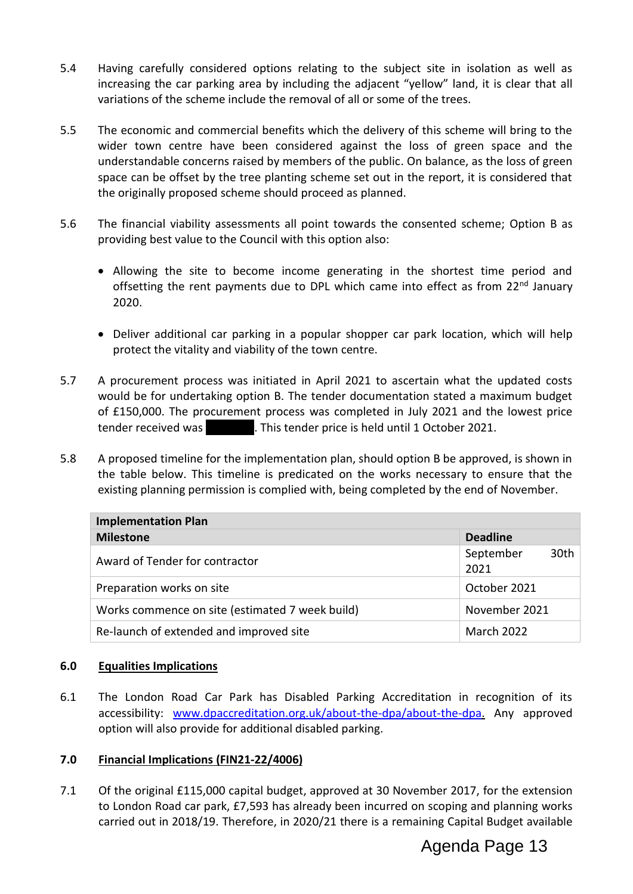- 5.4 Having carefully considered options relating to the subject site in isolation as well as increasing the car parking area by including the adjacent "yellow" land, it is clear that all variations of the scheme include the removal of all or some of the trees.
- 5.5 The economic and commercial benefits which the delivery of this scheme will bring to the wider town centre have been considered against the loss of green space and the understandable concerns raised by members of the public. On balance, as the loss of green space can be offset by the tree planting scheme set out in the report, it is considered that the originally proposed scheme should proceed as planned.
- 5.6 The financial viability assessments all point towards the consented scheme; Option B as providing best value to the Council with this option also:
	- Allowing the site to become income generating in the shortest time period and offsetting the rent payments due to DPL which came into effect as from 22<sup>nd</sup> January 2020.
	- Deliver additional car parking in a popular shopper car park location, which will help protect the vitality and viability of the town centre.
- 5.7 A procurement process was initiated in April 2021 to ascertain what the updated costs would be for undertaking option B. The tender documentation stated a maximum budget of £150,000. The procurement process was completed in July 2021 and the lowest price tender received was **1246.000. This tender price is held until 1 October 2021.**
- 5.8 A proposed timeline for the implementation plan, should option B be approved, is shown in the table below. This timeline is predicated on the works necessary to ensure that the existing planning permission is complied with, being completed by the end of November.

| <b>Implementation Plan</b>                      |                                       |  |  |  |  |  |
|-------------------------------------------------|---------------------------------------|--|--|--|--|--|
| <b>Milestone</b>                                | <b>Deadline</b>                       |  |  |  |  |  |
| Award of Tender for contractor                  | 30 <sub>th</sub><br>September<br>2021 |  |  |  |  |  |
| Preparation works on site                       | October 2021                          |  |  |  |  |  |
| Works commence on site (estimated 7 week build) | November 2021                         |  |  |  |  |  |
| Re-launch of extended and improved site         | March 2022                            |  |  |  |  |  |

# **6.0 Equalities Implications**

6.1 The London Road Car Park has Disabled Parking Accreditation in recognition of its accessibility: [www.dpaccreditation.org.uk/about-the-dpa/about-the-dpa.](http://www.dpaccreditation.org.uk/about-the-dpa/about-the-dpa) Any approved option will also provide for additional disabled parking.

# **7.0 Financial Implications (FIN21-22/4006)**

7.1 Of the original £115,000 capital budget, approved at 30 November 2017, for the extension to London Road car park, £7,593 has already been incurred on scoping and planning works carried out in 2018/19. Therefore, in 2020/21 there is a remaining Capital Budget available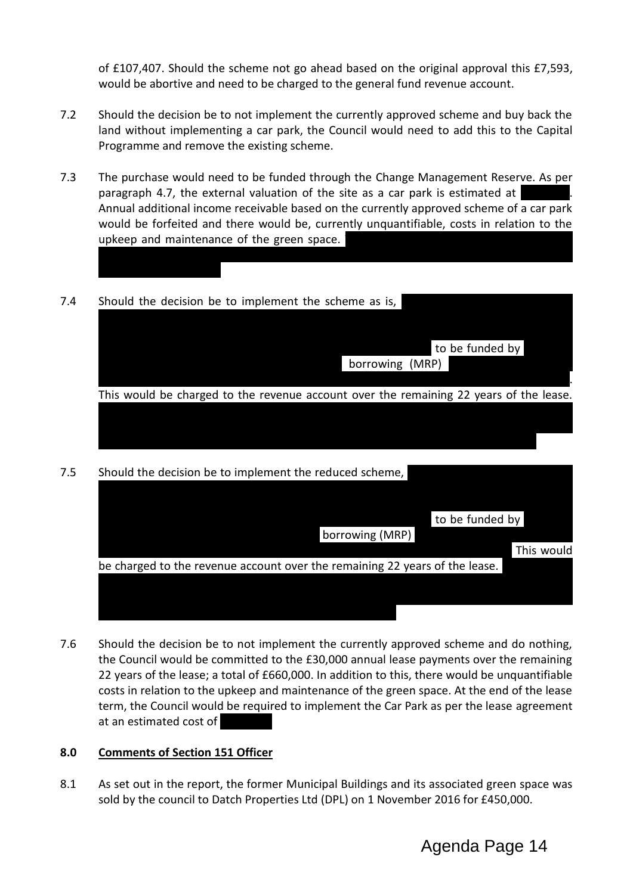of £107,407. Should the scheme not go ahead based on the original approval this £7,593, would be abortive and need to be charged to the general fund revenue account.

- 7.2 Should the decision be to not implement the currently approved scheme and buy back the land without implementing a car park, the Council would need to add this to the Capital Programme and remove the existing scheme.
- 7.3 The purchase would need to be funded through the Change Management Reserve. As per paragraph 4.7, the external valuation of the site as a car park is estimated at Annual additional income receivable based on the currently approved scheme of a car park would be forfeited and there would be, currently unquantifiable, costs in relation to the upkeep and maintenance of the green space.
- 7.4 Should the decision be to implement the scheme as is,

| to be funded by                                                                        |
|----------------------------------------------------------------------------------------|
| borrowing (MRP)                                                                        |
|                                                                                        |
| This would be charged to the revenue account over the remaining 22 years of the lease. |
|                                                                                        |
|                                                                                        |
|                                                                                        |
|                                                                                        |

the Change Management Reserve to accommodate the purchase and would leave circa

7.5 Should the decision be to implement the reduced scheme,

|                                                                             | to be funded by |            |
|-----------------------------------------------------------------------------|-----------------|------------|
| borrowing (MRP)                                                             |                 |            |
|                                                                             |                 | This would |
| be charged to the revenue account over the remaining 22 years of the lease. |                 |            |
|                                                                             |                 |            |
|                                                                             |                 |            |
|                                                                             |                 |            |

7.6 Should the decision be to not implement the currently approved scheme and do nothing, the Council would be committed to the £30,000 annual lease payments over the remaining 22 years of the lease; a total of £660,000. In addition to this, there would be unquantifiable costs in relation to the upkeep and maintenance of the green space. At the end of the lease term, the Council would be required to implement the Car Park as per the lease agreement at an estimated cost of

# **8.0 Comments of Section 151 Officer**

8.1 As set out in the report, the former Municipal Buildings and its associated green space was sold by the council to Datch Properties Ltd (DPL) on 1 November 2016 for £450,000.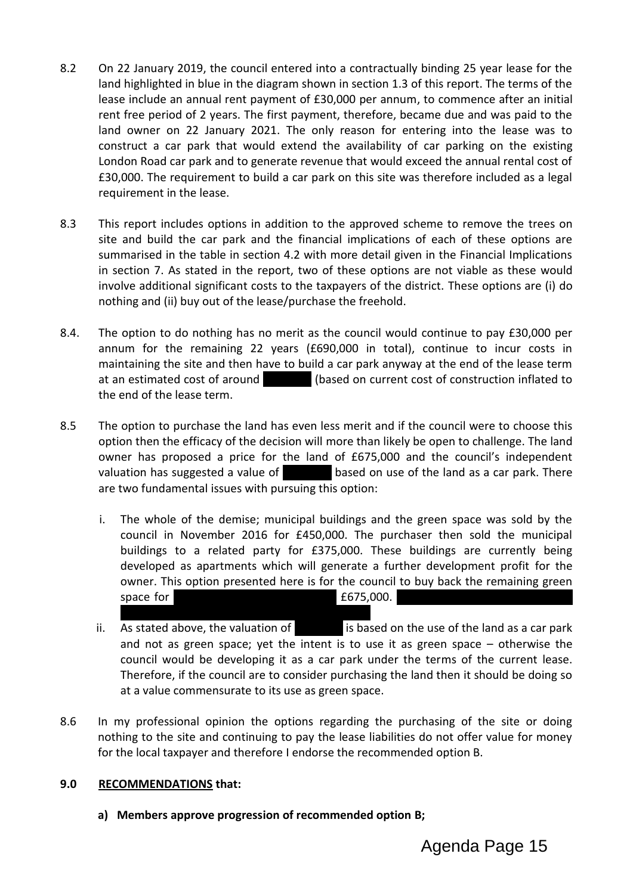- 8.2 On 22 January 2019, the council entered into a contractually binding 25 year lease for the land highlighted in blue in the diagram shown in section 1.3 of this report. The terms of the lease include an annual rent payment of £30,000 per annum, to commence after an initial rent free period of 2 years. The first payment, therefore, became due and was paid to the land owner on 22 January 2021. The only reason for entering into the lease was to construct a car park that would extend the availability of car parking on the existing London Road car park and to generate revenue that would exceed the annual rental cost of £30,000. The requirement to build a car park on this site was therefore included as a legal requirement in the lease.
- 8.3 This report includes options in addition to the approved scheme to remove the trees on site and build the car park and the financial implications of each of these options are summarised in the table in section 4.2 with more detail given in the Financial Implications in section 7. As stated in the report, two of these options are not viable as these would involve additional significant costs to the taxpayers of the district. These options are (i) do nothing and (ii) buy out of the lease/purchase the freehold.
- 8.4. The option to do nothing has no merit as the council would continue to pay £30,000 per annum for the remaining 22 years (£690,000 in total), continue to incur costs in maintaining the site and then have to build a car park anyway at the end of the lease term at an estimated cost of around **A100 (based on current cost of construction inflated to** the end of the lease term.
- 8.5 The option to purchase the land has even less merit and if the council were to choose this option then the efficacy of the decision will more than likely be open to challenge. The land owner has proposed a price for the land of £675,000 and the council's independent valuation has suggested a value of  $\overline{5}$  based on use of the land as a car park. There are two fundamental issues with pursuing this option:
	- i. The whole of the demise; municipal buildings and the green space was sold by the council in November 2016 for £450,000. The purchaser then sold the municipal buildings to a related party for £375,000. These buildings are currently being developed as apartments which will generate a further development profit for the owner. This option presented here is for the council to buy back the remaining green space for  $\sim$   $\sim$  5000.
	- ii. As stated above, the valuation of  $\overline{500}$  is based on the use of the land as a car park and not as green space; yet the intent is to use it as green space – otherwise the council would be developing it as a car park under the terms of the current lease. Therefore, if the council are to consider purchasing the land then it should be doing so at a value commensurate to its use as green space.
- 8.6 In my professional opinion the options regarding the purchasing of the site or doing nothing to the site and continuing to pay the lease liabilities do not offer value for money for the local taxpayer and therefore I endorse the recommended option B.

# **9.0 RECOMMENDATIONS that:**

**a) Members approve progression of recommended option B;**